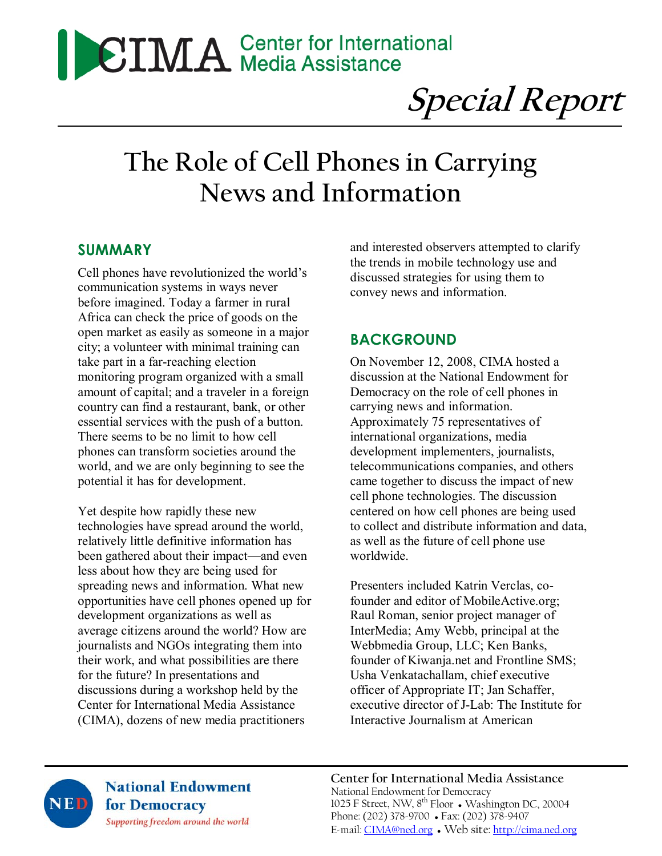# **CIMA** Center for International

**Special Report** 

# **The Role of Cell Phones in Carrying News and Information**

#### **SUMMARY**

Cell phones have revolutionized the world's communication systems in ways never before imagined. Today a farmer in rural Africa can check the price of goods on the open market as easily as someone in a major city; a volunteer with minimal training can take part in a far-reaching election monitoring program organized with a small amount of capital; and a traveler in a foreign country can find a restaurant, bank, or other essential services with the push of a button. There seems to be no limit to how cell phones can transform societies around the world, and we are only beginning to see the potential it has for development.

Yet despite how rapidly these new technologies have spread around the world, relatively little definitive information has been gathered about their impact—and even less about how they are being used for spreading news and information. What new opportunities have cell phones opened up for development organizations as well as average citizens around the world? How are journalists and NGOs integrating them into their work, and what possibilities are there for the future? In presentations and discussions during a workshop held by the Center for International Media Assistance (CIMA), dozens of new media practitioners

and interested observers attempted to clarify the trends in mobile technology use and discussed strategies for using them to convey news and information.

## **BACKGROUND**

On November 12, 2008, CIMA hosted a discussion at the National Endowment for Democracy on the role of cell phones in carrying news and information. Approximately 75 representatives of international organizations, media development implementers, journalists, telecommunications companies, and others came together to discuss the impact of new cell phone technologies. The discussion centered on how cell phones are being used to collect and distribute information and data, as well as the future of cell phone use worldwide.

Presenters included Katrin Verclas, cofounder and editor of MobileActive.org; Raul Roman, senior project manager of InterMedia; Amy Webb, principal at the Webbmedia Group, LLC; Ken Banks, founder of Kiwanja.net and Frontline SMS; Usha Venkatachallam, chief executive officer of Appropriate IT; Jan Schaffer, executive director of J-Lab: The Institute for Interactive Journalism at American



**National Endowment** for Democracy Supporting freedom around the world

**Center for International Media Assistance**  National Endowment for Democracy 1025 F Street, NW, 8<sup>th</sup> Floor • Washington DC, 20004 Phone: (202) 378-9700 ● Fax: (202) 378-9407 E-mail: CIMA@ned.org ● Web site: http://cima.ned.org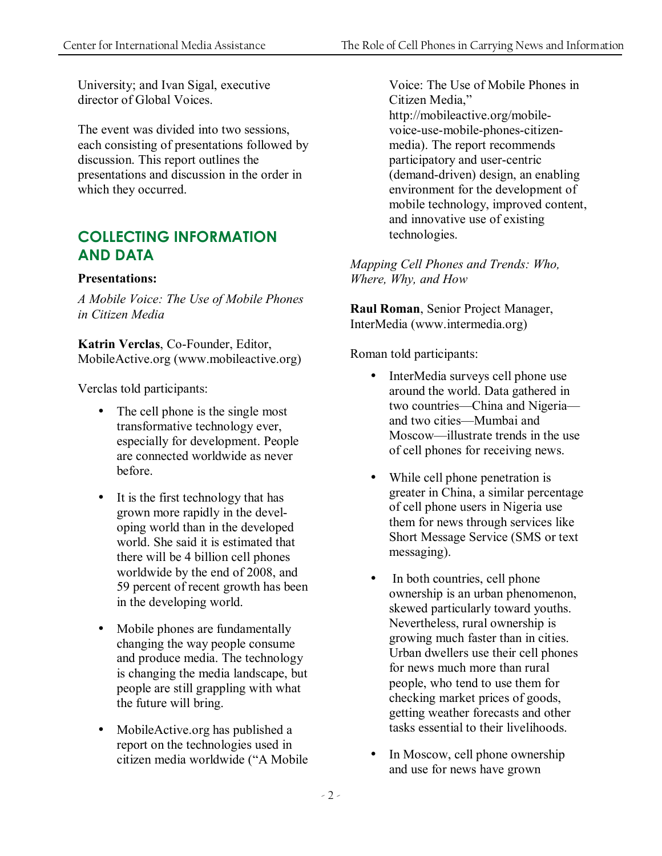University; and Ivan Sigal, executive director of Global Voices.

The event was divided into two sessions, each consisting of presentations followed by discussion. This report outlines the presentations and discussion in the order in which they occurred.

# **COLLECTING INFORMATION AND DATA**

#### **Presentations:**

*A Mobile Voice: The Use of Mobile Phones in Citizen Media* 

**Katrin Verclas**, Co-Founder, Editor, MobileActive.org (www.mobileactive.org)

Verclas told participants:

- The cell phone is the single most transformative technology ever, especially for development. People are connected worldwide as never before.
- It is the first technology that has grown more rapidly in the developing world than in the developed world. She said it is estimated that there will be 4 billion cell phones worldwide by the end of 2008, and 59 percent of recent growth has been in the developing world.
- Mobile phones are fundamentally changing the way people consume and produce media. The technology is changing the media landscape, but people are still grappling with what the future will bring.
- MobileActive.org has published a report on the technologies used in citizen media worldwide ("A Mobile

Voice: The Use of Mobile Phones in Citizen Media," http://mobileactive.org/mobilevoice-use-mobile-phones-citizenmedia). The report recommends participatory and user-centric (demand-driven) design, an enabling environment for the development of mobile technology, improved content, and innovative use of existing technologies.

*Mapping Cell Phones and Trends: Who, Where, Why, and How* 

**Raul Roman**, Senior Project Manager, InterMedia (www.intermedia.org)

Roman told participants:

- InterMedia surveys cell phone use around the world. Data gathered in two countries—China and Nigeria and two cities—Mumbai and Moscow—illustrate trends in the use of cell phones for receiving news.
- While cell phone penetration is greater in China, a similar percentage of cell phone users in Nigeria use them for news through services like Short Message Service (SMS or text messaging).
- In both countries, cell phone ownership is an urban phenomenon, skewed particularly toward youths. Nevertheless, rural ownership is growing much faster than in cities. Urban dwellers use their cell phones for news much more than rural people, who tend to use them for checking market prices of goods, getting weather forecasts and other tasks essential to their livelihoods.
- In Moscow, cell phone ownership and use for news have grown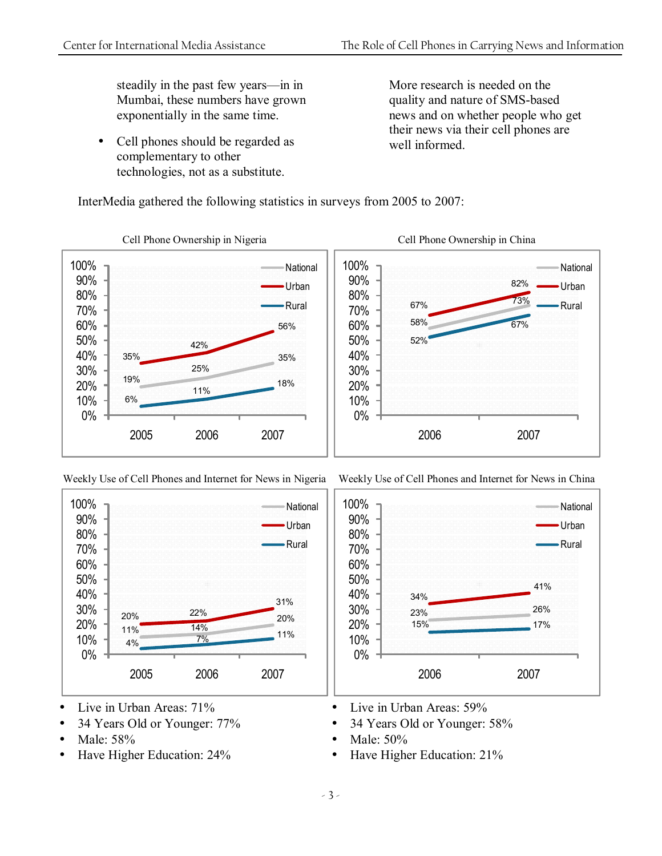steadily in the past few years—in in Mumbai, these numbers have grown exponentially in the same time.

• Cell phones should be regarded as complementary to other technologies, not as a substitute.

More research is needed on the quality and nature of SMS-based news and on whether people who get their news via their cell phones are well informed

Weekly Use of Cell Phones and Internet for News in China

23% 26% 15% 17%

2006 2007

41%

**National** Urban Rural



InterMedia gathered the following statistics in surveys from 2005 to 2007:





- Live in Urban Areas: 71%
- 34 Years Old or Younger: 77%
- Male: 58%
- Have Higher Education: 24%

• Live in Urban Areas: 59%

34%

- 34 Years Old or Younger: 58%
- Male: 50%

0% 10% 20% 30% 40% 50% 60% 70% 80% 90% 100%

• Have Higher Education: 21%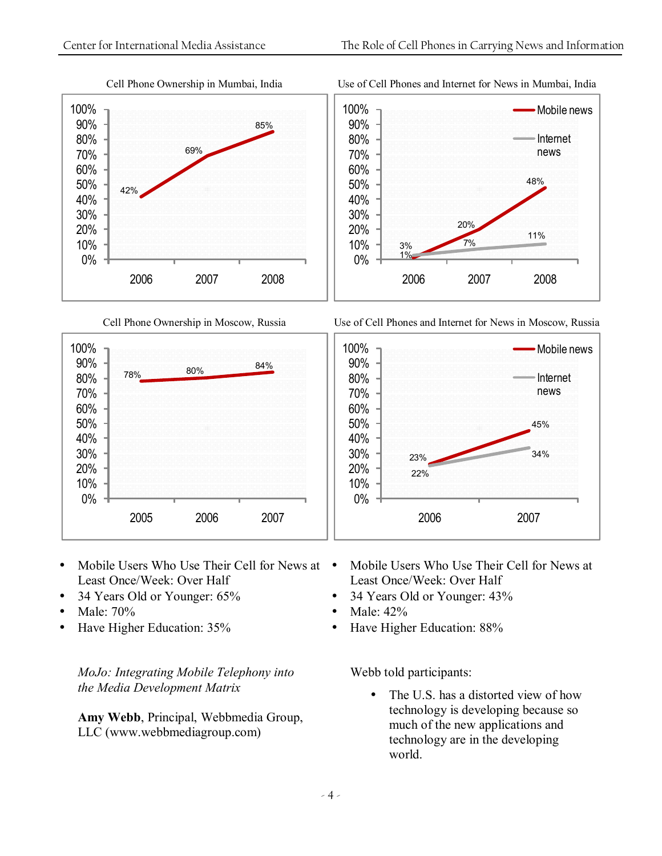

#### Cell Phone Ownership in Mumbai, India

Use of Cell Phones and Internet for News in Mumbai, India



Use of Cell Phones and Internet for News in Moscow, Russia

Cell Phone Ownership in Moscow, Russia



- Mobile Users Who Use Their Cell for News at Least Once/Week: Over Half
- 34 Years Old or Younger: 65%
- Male: 70%
- Have Higher Education: 35%

*MoJo: Integrating Mobile Telephony into the Media Development Matrix* 

**Amy Webb**, Principal, Webbmedia Group, LLC (www.webbmediagroup.com)

- Mobile Users Who Use Their Cell for News at Least Once/Week: Over Half
- 34 Years Old or Younger: 43%
- Male: 42%
- Have Higher Education: 88%

Webb told participants:

• The U.S. has a distorted view of how technology is developing because so much of the new applications and technology are in the developing world.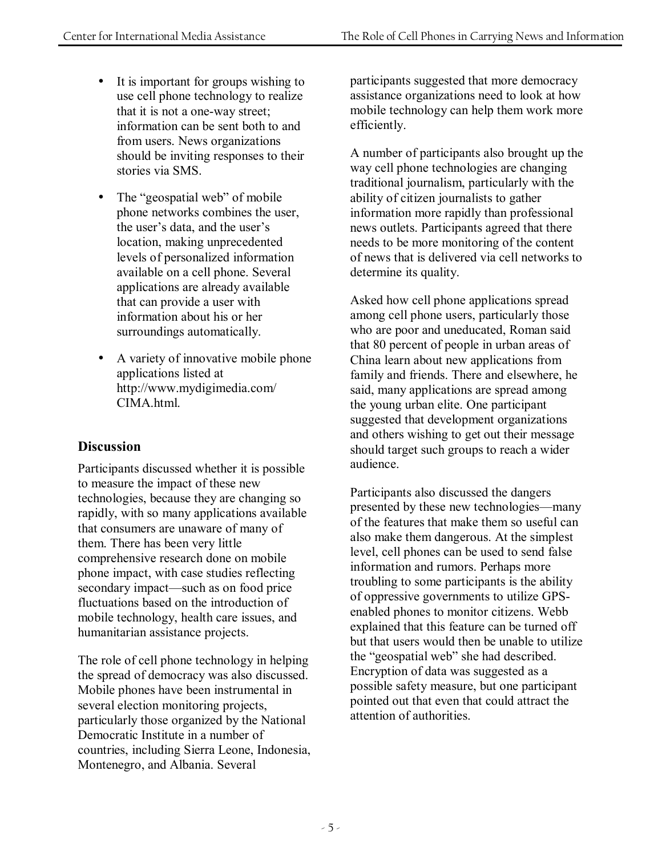- It is important for groups wishing to use cell phone technology to realize that it is not a one-way street; information can be sent both to and from users. News organizations should be inviting responses to their stories via SMS.
- The "geospatial web" of mobile phone networks combines the user, the user's data, and the user's location, making unprecedented levels of personalized information available on a cell phone. Several applications are already available that can provide a user with information about his or her surroundings automatically.
- A variety of innovative mobile phone applications listed at http://www.mydigimedia.com/ CIMA html.

#### **Discussion**

Participants discussed whether it is possible to measure the impact of these new technologies, because they are changing so rapidly, with so many applications available that consumers are unaware of many of them. There has been very little comprehensive research done on mobile phone impact, with case studies reflecting secondary impact—such as on food price fluctuations based on the introduction of mobile technology, health care issues, and humanitarian assistance projects.

The role of cell phone technology in helping the spread of democracy was also discussed. Mobile phones have been instrumental in several election monitoring projects, particularly those organized by the National Democratic Institute in a number of countries, including Sierra Leone, Indonesia, Montenegro, and Albania. Several

participants suggested that more democracy assistance organizations need to look at how mobile technology can help them work more efficiently.

A number of participants also brought up the way cell phone technologies are changing traditional journalism, particularly with the ability of citizen journalists to gather information more rapidly than professional news outlets. Participants agreed that there needs to be more monitoring of the content of news that is delivered via cell networks to determine its quality.

Asked how cell phone applications spread among cell phone users, particularly those who are poor and uneducated, Roman said that 80 percent of people in urban areas of China learn about new applications from family and friends. There and elsewhere, he said, many applications are spread among the young urban elite. One participant suggested that development organizations and others wishing to get out their message should target such groups to reach a wider audience.

Participants also discussed the dangers presented by these new technologies—many of the features that make them so useful can also make them dangerous. At the simplest level, cell phones can be used to send false information and rumors. Perhaps more troubling to some participants is the ability of oppressive governments to utilize GPSenabled phones to monitor citizens. Webb explained that this feature can be turned off but that users would then be unable to utilize the "geospatial web" she had described. Encryption of data was suggested as a possible safety measure, but one participant pointed out that even that could attract the attention of authorities.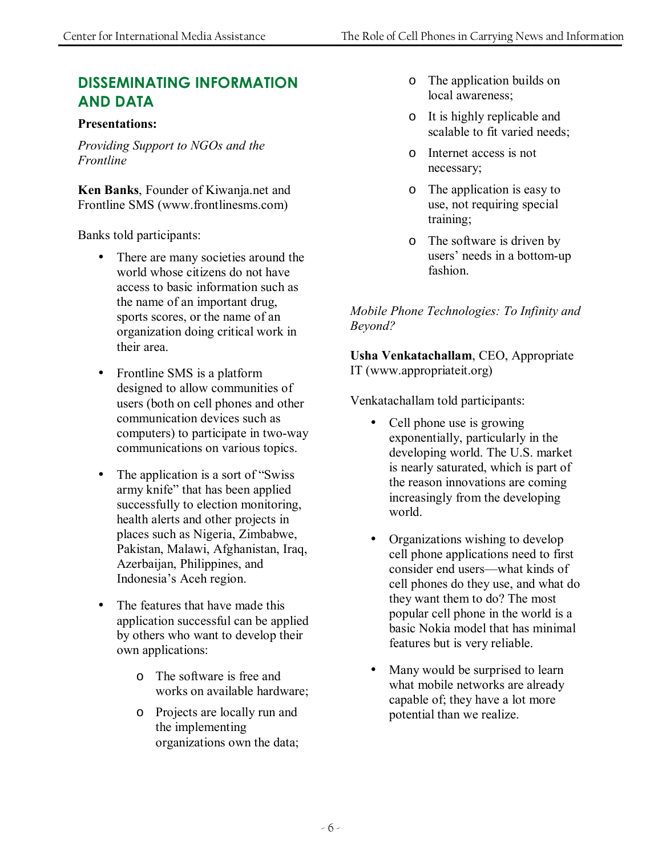# **DISSEMINATING INFORMATION AND DATA**

#### **Presentations:**

*Providing Support to NGOs and the Frontline* 

**Ken Banks**, Founder of Kiwanja.net and Frontline SMS (www.frontlinesms.com)

Banks told participants:

- There are many societies around the world whose citizens do not have access to basic information such as the name of an important drug, sports scores, or the name of an organization doing critical work in their area.
- Frontline SMS is a platform designed to allow communities of users (both on cell phones and other communication devices such as computers) to participate in two-way communications on various topics.
- The application is a sort of "Swiss army knife" that has been applied successfully to election monitoring, health alerts and other projects in places such as Nigeria, Zimbabwe, Pakistan, Malawi, Afghanistan, Iraq, Azerbaijan, Philippines, and Indonesia's Aceh region.
- The features that have made this application successful can be applied by others who want to develop their own applications:
	- o The software is free and works on available hardware;
	- o Projects are locally run and the implementing organizations own the data;
- o The application builds on local awareness;
- o It is highly replicable and scalable to fit varied needs;
- o Internet access is not necessary;
- o The application is easy to use, not requiring special training;
- o The software is driven by users' needs in a bottom-up fashion.

*Mobile Phone Technologies: To Infinity and Beyond?* 

**Usha Venkatachallam**, CEO, Appropriate IT (www.appropriateit.org)

Venkatachallam told participants:

- Cell phone use is growing exponentially, particularly in the developing world. The U.S. market is nearly saturated, which is part of the reason innovations are coming increasingly from the developing world.
- Organizations wishing to develop cell phone applications need to first consider end users—what kinds of cell phones do they use, and what do they want them to do? The most popular cell phone in the world is a basic Nokia model that has minimal features but is very reliable.
- Many would be surprised to learn what mobile networks are already capable of; they have a lot more potential than we realize.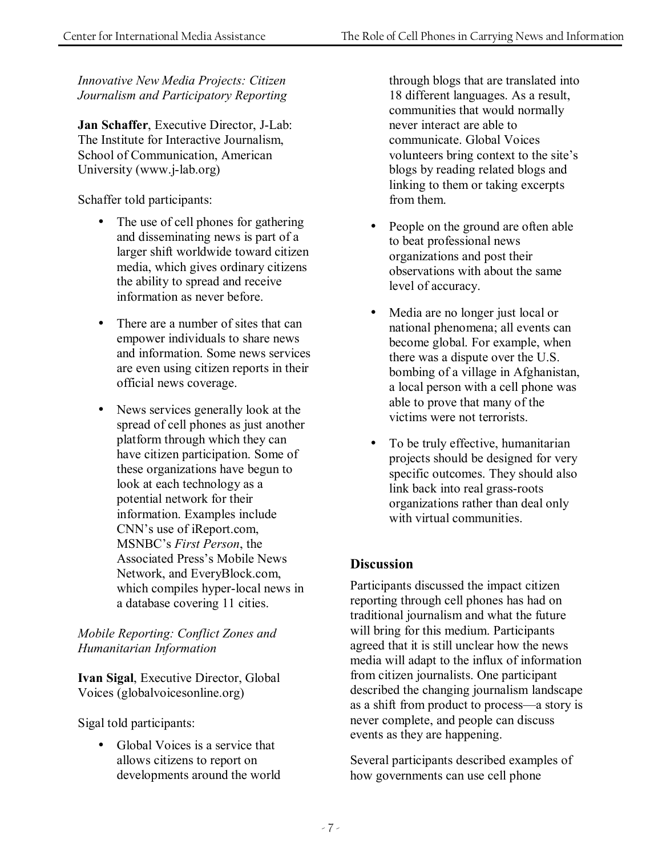*Innovative New Media Projects: Citizen Journalism and Participatory Reporting* 

**Jan Schaffer**, Executive Director, J-Lab: The Institute for Interactive Journalism, School of Communication, American University (www.j-lab.org)

Schaffer told participants:

- The use of cell phones for gathering and disseminating news is part of a larger shift worldwide toward citizen media, which gives ordinary citizens the ability to spread and receive information as never before.
- There are a number of sites that can empower individuals to share news and information. Some news services are even using citizen reports in their official news coverage.
- News services generally look at the spread of cell phones as just another platform through which they can have citizen participation. Some of these organizations have begun to look at each technology as a potential network for their information. Examples include CNN's use of iReport.com, MSNBC's *First Person*, the Associated Press's Mobile News Network, and EveryBlock.com, which compiles hyper-local news in a database covering 11 cities.

#### *Mobile Reporting: Conflict Zones and Humanitarian Information*

**Ivan Sigal**, Executive Director, Global Voices (globalvoicesonline.org)

Sigal told participants:

• Global Voices is a service that allows citizens to report on developments around the world through blogs that are translated into 18 different languages. As a result, communities that would normally never interact are able to communicate. Global Voices volunteers bring context to the site's blogs by reading related blogs and linking to them or taking excerpts from them.

- People on the ground are often able to beat professional news organizations and post their observations with about the same level of accuracy.
- Media are no longer just local or national phenomena; all events can become global. For example, when there was a dispute over the U.S. bombing of a village in Afghanistan, a local person with a cell phone was able to prove that many of the victims were not terrorists.
- To be truly effective, humanitarian projects should be designed for very specific outcomes. They should also link back into real grass-roots organizations rather than deal only with virtual communities.

#### **Discussion**

Participants discussed the impact citizen reporting through cell phones has had on traditional journalism and what the future will bring for this medium. Participants agreed that it is still unclear how the news media will adapt to the influx of information from citizen journalists. One participant described the changing journalism landscape as a shift from product to process—a story is never complete, and people can discuss events as they are happening.

Several participants described examples of how governments can use cell phone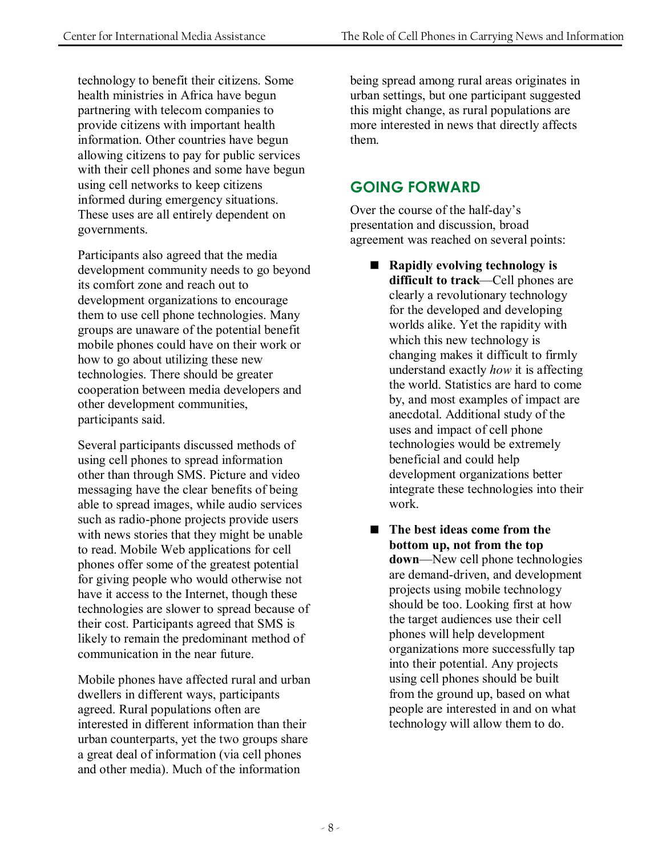technology to benefit their citizens. Some health ministries in Africa have begun partnering with telecom companies to provide citizens with important health information. Other countries have begun allowing citizens to pay for public services with their cell phones and some have begun using cell networks to keep citizens informed during emergency situations. These uses are all entirely dependent on governments.

Participants also agreed that the media development community needs to go beyond its comfort zone and reach out to development organizations to encourage them to use cell phone technologies. Many groups are unaware of the potential benefit mobile phones could have on their work or how to go about utilizing these new technologies. There should be greater cooperation between media developers and other development communities, participants said.

Several participants discussed methods of using cell phones to spread information other than through SMS. Picture and video messaging have the clear benefits of being able to spread images, while audio services such as radio-phone projects provide users with news stories that they might be unable to read. Mobile Web applications for cell phones offer some of the greatest potential for giving people who would otherwise not have it access to the Internet, though these technologies are slower to spread because of their cost. Participants agreed that SMS is likely to remain the predominant method of communication in the near future.

Mobile phones have affected rural and urban dwellers in different ways, participants agreed. Rural populations often are interested in different information than their urban counterparts, yet the two groups share a great deal of information (via cell phones and other media). Much of the information

being spread among rural areas originates in urban settings, but one participant suggested this might change, as rural populations are more interested in news that directly affects them.

## **GOING FORWARD**

Over the course of the half-day's presentation and discussion, broad agreement was reached on several points:

- **Rapidly evolving technology is difficult to track—Cell phones are** clearly a revolutionary technology for the developed and developing worlds alike. Yet the rapidity with which this new technology is changing makes it difficult to firmly understand exactly *how* it is affecting the world. Statistics are hard to come by, and most examples of impact are anecdotal. Additional study of the uses and impact of cell phone technologies would be extremely beneficial and could help development organizations better integrate these technologies into their work.
- The best ideas come from the **bottom up, not from the top down**—New cell phone technologies are demand-driven, and development projects using mobile technology should be too. Looking first at how the target audiences use their cell phones will help development organizations more successfully tap into their potential. Any projects using cell phones should be built from the ground up, based on what people are interested in and on what technology will allow them to do.